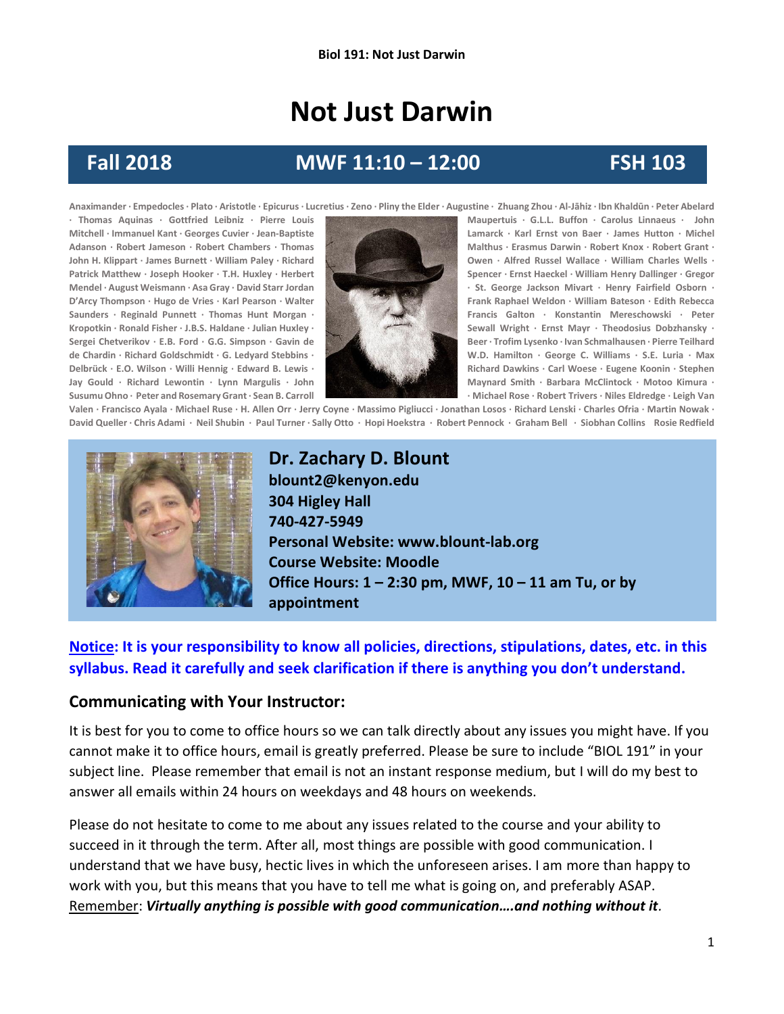# **Not Just Darwin**

## **Fall 2018 MWF 11:10 – 12:00 FSH 103**

**Anaximander · Empedocles · Plato · Aristotle · Epicurus · Lucretius · Zeno · Pliny the Elder · Augustine · Zhuang Zhou · Al-Jāhiz · Ibn Khaldūn · Peter Abelard Susumu Ohno · Peter and Rosemary Grant· Sean B. Carroll · Michael Rose · Robert Trivers · Niles Eldredge · Leigh Van** 



**· Thomas Aquinas · Gottfried Leibniz · Pierre Louis Maupertuis · G.L.L. Buffon · Carolus Linnaeus · John Mitchell · Immanuel Kant · Georges Cuvier · Jean-Baptiste Lamarck · Karl Ernst von Baer · James Hutton · Michel Adanson · Robert Jameson · Robert Chambers · Thomas Malthus · Erasmus Darwin · Robert Knox · Robert Grant ·**  John H. Klippart · James Burnett · William Paley · Richard **Company of Company of Company Owen** · Alfred Russel Wallace · William Charles Wells · **Patrick Matthew · Joseph Hooker · T.H. Huxley · Herbert Spencer <b>Spencer** · Ernst Haeckel · William Henry Dallinger · Gregor **Mendel · August Weismann · Asa Gray · David Starr Jordan · St. George Jackson Mivart · Henry Fairfield Osborn · D'Arcy Thompson · Hugo de Vries · Karl Pearson · Walter And Archives Addition · Frank Raphael Weldon · William Bateson · Edith Rebecca Saunders · Reginald Punnett · Thomas Hunt Morgan · Francis Galton · Konstantin Mereschowski · Peter Kropotkin · Ronald Fisher · J.B.S. Haldane · Julian Huxley · Sewall Wright · Ernst Mayr · Theodosius Dobzhansky · Sergei Chetverikov · E.B. Ford · G.G. Simpson · Gavin de Beer · Trofim Lysenko · Ivan Schmalhausen · Pierre Teilhard de Chardin · Richard Goldschmidt · G. Ledyard Stebbins · W.D. Hamilton · George C. Williams · S.E. Luria · Max Delbrück · E.O. Wilson · Willi Hennig · Edward B. Lewis · Richard Dawkins · Carl Woese · Eugene Koonin · Stephen Jay Gould · Richard Lewontin · Lynn Margulis** · John **Maynard Smith · Barbara McClintock** · Motoo Kimura ·

Valen · Francisco Ayala · Michael Ruse · H. Allen Orr · Jerry Coyne · Massimo Pigliucci · Jonathan Losos · Richard Lenski · Charles Ofria · Martin Nowak · David Queller · Chris Adami · Neil Shubin · Paul Turner · Sally Otto · Hopi Hoekstra · Robert Pennock · Graham Bell · Siobhan Collins Rosie Redfield



**Dr. Zachary D. Blount blount2@kenyon.edu 304 Higley Hall 740-427-5949 Personal Website: www.blount-lab.org Course Website: Moodle Office Hours: 1 – 2:30 pm, MWF, 10 – 11 am Tu, or by appointment**

#### **Notice: It is your responsibility to know all policies, directions, stipulations, dates, etc. in this syllabus. Read it carefully and seek clarification if there is anything you don't understand.**

#### **Communicating with Your Instructor:**

It is best for you to come to office hours so we can talk directly about any issues you might have. If you cannot make it to office hours, email is greatly preferred. Please be sure to include "BIOL 191" in your subject line. Please remember that email is not an instant response medium, but I will do my best to answer all emails within 24 hours on weekdays and 48 hours on weekends.

Please do not hesitate to come to me about any issues related to the course and your ability to succeed in it through the term. After all, most things are possible with good communication. I understand that we have busy, hectic lives in which the unforeseen arises. I am more than happy to work with you, but this means that you have to tell me what is going on, and preferably ASAP. Remember: *Virtually anything is possible with good communication….and nothing without it.*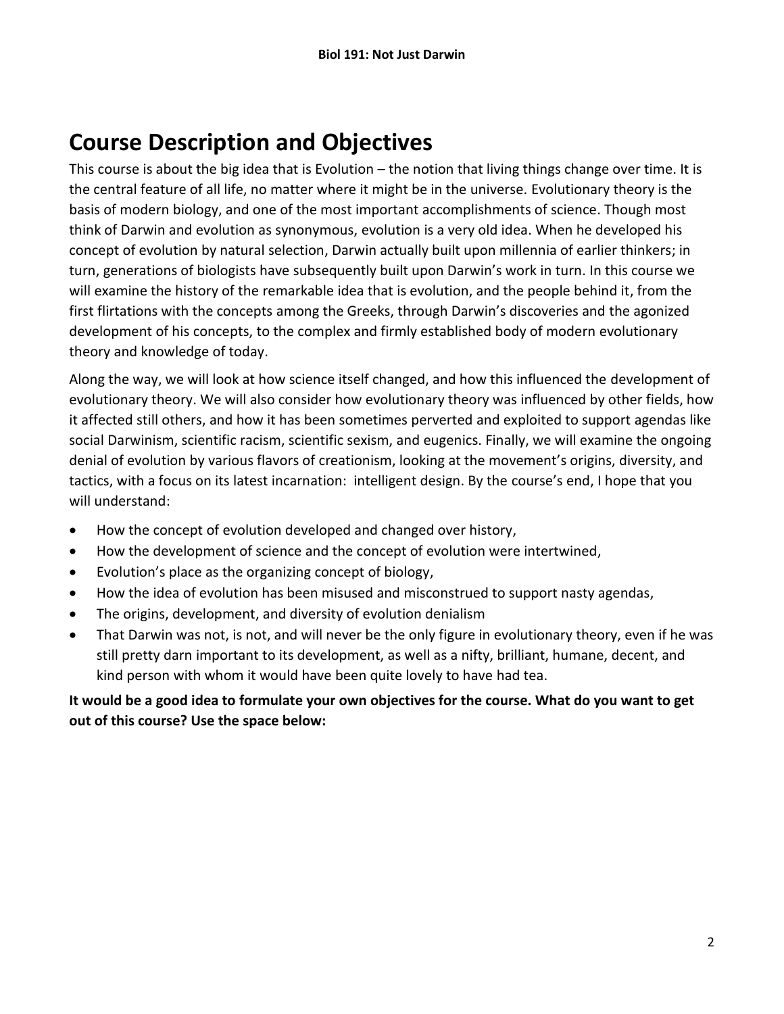# **Course Description and Objectives**

This course is about the big idea that is Evolution – the notion that living things change over time. It is the central feature of all life, no matter where it might be in the universe. Evolutionary theory is the basis of modern biology, and one of the most important accomplishments of science. Though most think of Darwin and evolution as synonymous, evolution is a very old idea. When he developed his concept of evolution by natural selection, Darwin actually built upon millennia of earlier thinkers; in turn, generations of biologists have subsequently built upon Darwin's work in turn. In this course we will examine the history of the remarkable idea that is evolution, and the people behind it, from the first flirtations with the concepts among the Greeks, through Darwin's discoveries and the agonized development of his concepts, to the complex and firmly established body of modern evolutionary theory and knowledge of today.

Along the way, we will look at how science itself changed, and how this influenced the development of evolutionary theory. We will also consider how evolutionary theory was influenced by other fields, how it affected still others, and how it has been sometimes perverted and exploited to support agendas like social Darwinism, scientific racism, scientific sexism, and eugenics. Finally, we will examine the ongoing denial of evolution by various flavors of creationism, looking at the movement's origins, diversity, and tactics, with a focus on its latest incarnation: intelligent design. By the course's end, I hope that you will understand:

- How the concept of evolution developed and changed over history,
- How the development of science and the concept of evolution were intertwined,
- Evolution's place as the organizing concept of biology,
- How the idea of evolution has been misused and misconstrued to support nasty agendas,
- The origins, development, and diversity of evolution denialism
- That Darwin was not, is not, and will never be the only figure in evolutionary theory, even if he was still pretty darn important to its development, as well as a nifty, brilliant, humane, decent, and kind person with whom it would have been quite lovely to have had tea.

#### **It would be a good idea to formulate your own objectives for the course. What do you want to get out of this course? Use the space below:**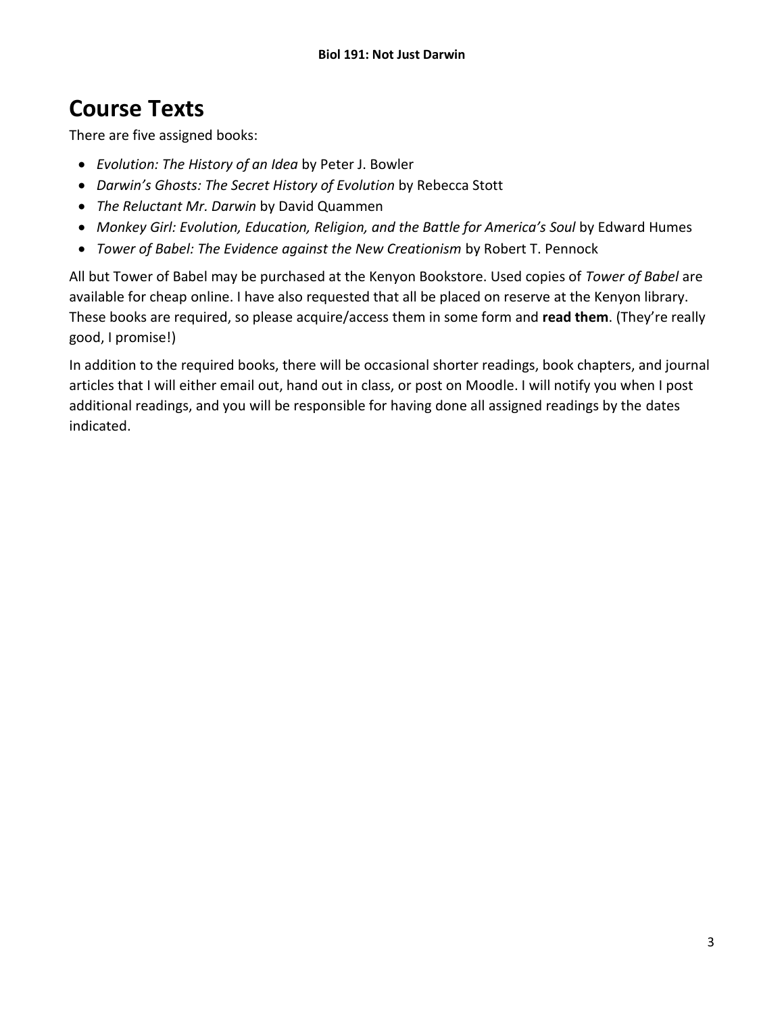## **Course Texts**

There are five assigned books:

- *Evolution: The History of an Idea* by Peter J. Bowler
- *Darwin's Ghosts: The Secret History of Evolution* by Rebecca Stott
- *The Reluctant Mr. Darwin* by David Quammen
- *Monkey Girl: Evolution, Education, Religion, and the Battle for America's Soul* by Edward Humes
- *Tower of Babel: The Evidence against the New Creationism* by Robert T. Pennock

All but Tower of Babel may be purchased at the Kenyon Bookstore. Used copies of *Tower of Babel* are available for cheap online. I have also requested that all be placed on reserve at the Kenyon library. These books are required, so please acquire/access them in some form and **read them**. (They're really good, I promise!)

In addition to the required books, there will be occasional shorter readings, book chapters, and journal articles that I will either email out, hand out in class, or post on Moodle. I will notify you when I post additional readings, and you will be responsible for having done all assigned readings by the dates indicated.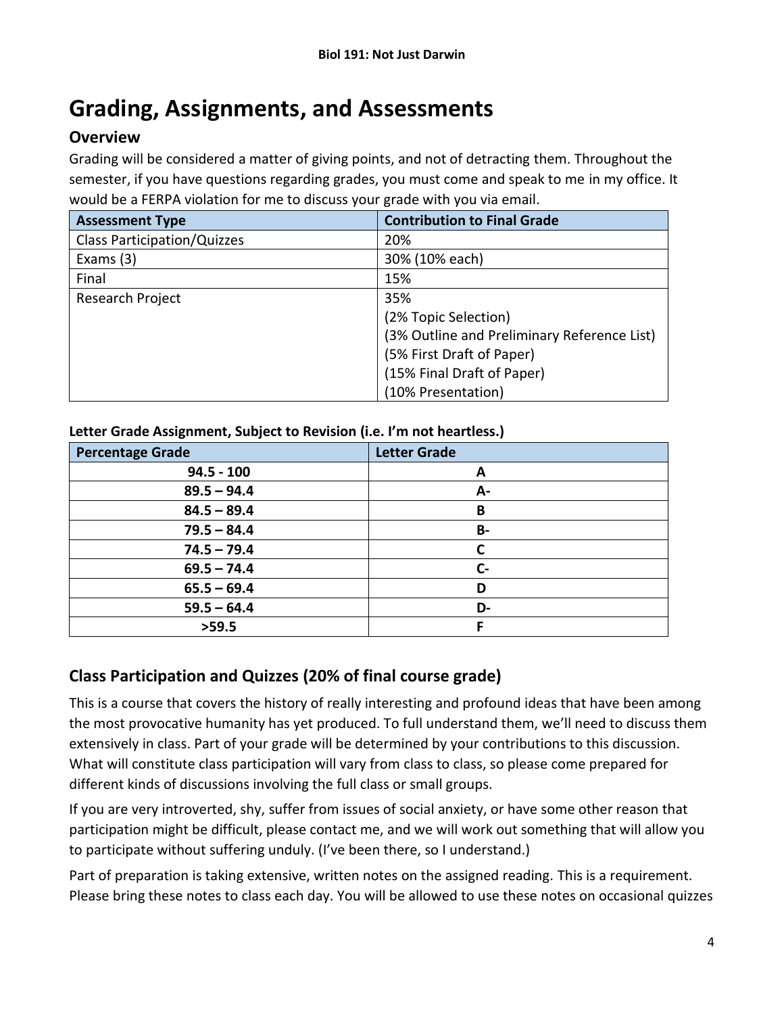# **Grading, Assignments, and Assessments**

#### **Overview**

Grading will be considered a matter of giving points, and not of detracting them. Throughout the semester, if you have questions regarding grades, you must come and speak to me in my office. It would be a FERPA violation for me to discuss your grade with you via email.

| <b>Assessment Type</b>             | <b>Contribution to Final Grade</b>          |
|------------------------------------|---------------------------------------------|
| <b>Class Participation/Quizzes</b> | 20%                                         |
| Exams $(3)$                        | 30% (10% each)                              |
| Final                              | 15%                                         |
| Research Project                   | 35%                                         |
|                                    | (2% Topic Selection)                        |
|                                    | (3% Outline and Preliminary Reference List) |
|                                    | (5% First Draft of Paper)                   |
|                                    | (15% Final Draft of Paper)                  |
|                                    | (10% Presentation)                          |

#### **Letter Grade Assignment, Subject to Revision (i.e. I'm not heartless.)**

| <b>Percentage Grade</b> | <b>Letter Grade</b> |
|-------------------------|---------------------|
| $94.5 - 100$            | A                   |
| $89.5 - 94.4$           | А-                  |
| $84.5 - 89.4$           | B                   |
| $79.5 - 84.4$           | <b>B-</b>           |
| $74.5 - 79.4$           |                     |
| $69.5 - 74.4$           | $C -$               |
| $65.5 - 69.4$           | D                   |
| $59.5 - 64.4$           | D-                  |
| >59.5                   | c                   |

#### **Class Participation and Quizzes (20% of final course grade)**

This is a course that covers the history of really interesting and profound ideas that have been among the most provocative humanity has yet produced. To full understand them, we'll need to discuss them extensively in class. Part of your grade will be determined by your contributions to this discussion. What will constitute class participation will vary from class to class, so please come prepared for different kinds of discussions involving the full class or small groups.

If you are very introverted, shy, suffer from issues of social anxiety, or have some other reason that participation might be difficult, please contact me, and we will work out something that will allow you to participate without suffering unduly. (I've been there, so I understand.)

Part of preparation is taking extensive, written notes on the assigned reading. This is a requirement. Please bring these notes to class each day. You will be allowed to use these notes on occasional quizzes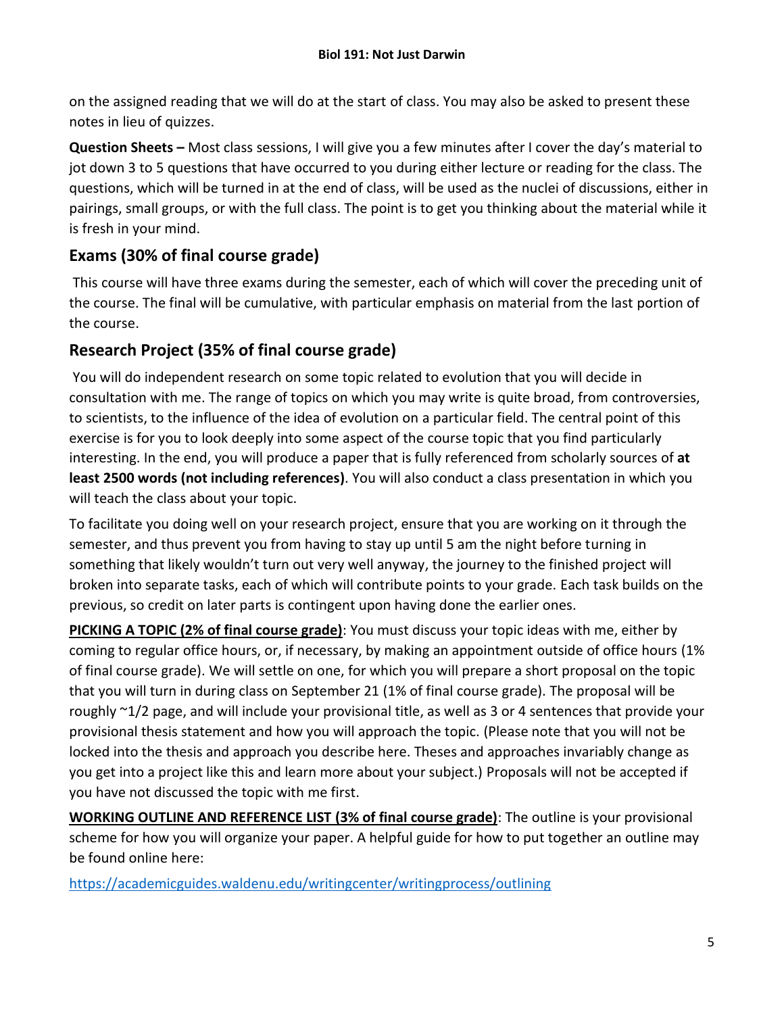on the assigned reading that we will do at the start of class. You may also be asked to present these notes in lieu of quizzes.

**Question Sheets –** Most class sessions, I will give you a few minutes after I cover the day's material to jot down 3 to 5 questions that have occurred to you during either lecture or reading for the class. The questions, which will be turned in at the end of class, will be used as the nuclei of discussions, either in pairings, small groups, or with the full class. The point is to get you thinking about the material while it is fresh in your mind.

## **Exams (30% of final course grade)**

This course will have three exams during the semester, each of which will cover the preceding unit of the course. The final will be cumulative, with particular emphasis on material from the last portion of the course.

## **Research Project (35% of final course grade)**

You will do independent research on some topic related to evolution that you will decide in consultation with me. The range of topics on which you may write is quite broad, from controversies, to scientists, to the influence of the idea of evolution on a particular field. The central point of this exercise is for you to look deeply into some aspect of the course topic that you find particularly interesting. In the end, you will produce a paper that is fully referenced from scholarly sources of **at least 2500 words (not including references)**. You will also conduct a class presentation in which you will teach the class about your topic.

To facilitate you doing well on your research project, ensure that you are working on it through the semester, and thus prevent you from having to stay up until 5 am the night before turning in something that likely wouldn't turn out very well anyway, the journey to the finished project will broken into separate tasks, each of which will contribute points to your grade. Each task builds on the previous, so credit on later parts is contingent upon having done the earlier ones.

**PICKING A TOPIC (2% of final course grade)**: You must discuss your topic ideas with me, either by coming to regular office hours, or, if necessary, by making an appointment outside of office hours (1% of final course grade). We will settle on one, for which you will prepare a short proposal on the topic that you will turn in during class on September 21 (1% of final course grade). The proposal will be roughly ~1/2 page, and will include your provisional title, as well as 3 or 4 sentences that provide your provisional thesis statement and how you will approach the topic. (Please note that you will not be locked into the thesis and approach you describe here. Theses and approaches invariably change as you get into a project like this and learn more about your subject.) Proposals will not be accepted if you have not discussed the topic with me first.

**WORKING OUTLINE AND REFERENCE LIST (3% of final course grade)**: The outline is your provisional scheme for how you will organize your paper. A helpful guide for how to put together an outline may be found online here:

<https://academicguides.waldenu.edu/writingcenter/writingprocess/outlining>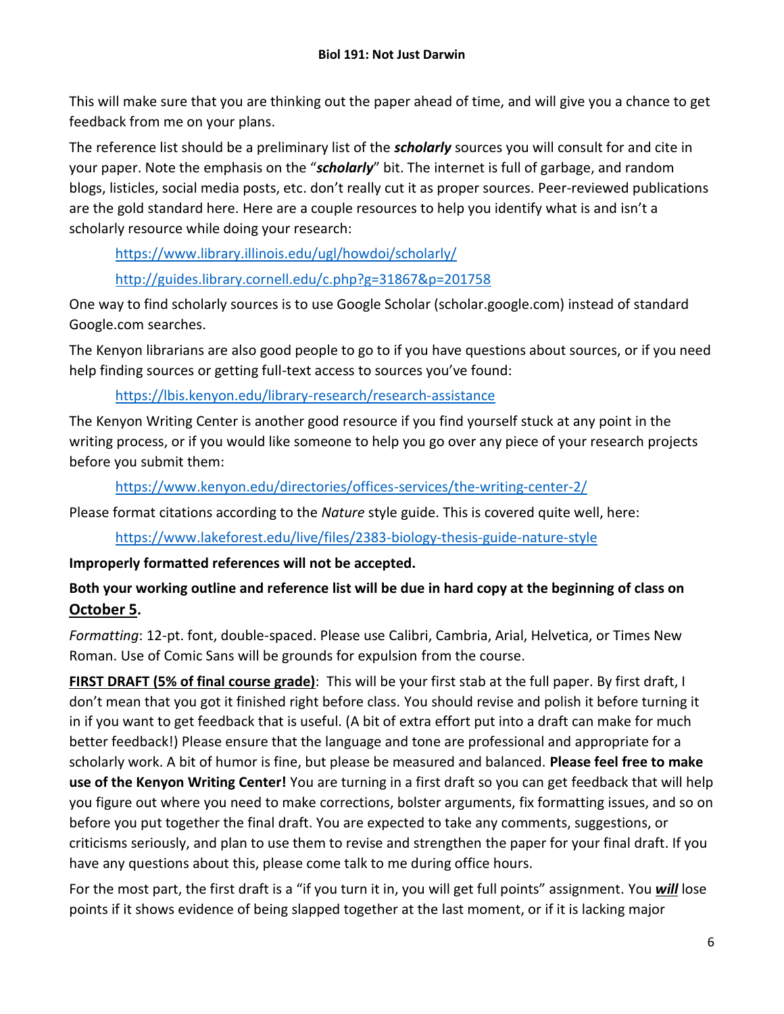This will make sure that you are thinking out the paper ahead of time, and will give you a chance to get feedback from me on your plans.

The reference list should be a preliminary list of the *scholarly* sources you will consult for and cite in your paper. Note the emphasis on the "*scholarly*" bit. The internet is full of garbage, and random blogs, listicles, social media posts, etc. don't really cut it as proper sources. Peer-reviewed publications are the gold standard here. Here are a couple resources to help you identify what is and isn't a scholarly resource while doing your research:

<https://www.library.illinois.edu/ugl/howdoi/scholarly/>

<http://guides.library.cornell.edu/c.php?g=31867&p=201758>

One way to find scholarly sources is to use Google Scholar (scholar.google.com) instead of standard Google.com searches.

The Kenyon librarians are also good people to go to if you have questions about sources, or if you need help finding sources or getting full-text access to sources you've found:

#### <https://lbis.kenyon.edu/library-research/research-assistance>

The Kenyon Writing Center is another good resource if you find yourself stuck at any point in the writing process, or if you would like someone to help you go over any piece of your research projects before you submit them:

<https://www.kenyon.edu/directories/offices-services/the-writing-center-2/>

Please format citations according to the *Nature* style guide. This is covered quite well, here:

<https://www.lakeforest.edu/live/files/2383-biology-thesis-guide-nature-style>

#### **Improperly formatted references will not be accepted.**

#### **Both your working outline and reference list will be due in hard copy at the beginning of class on October 5.**

*Formatting*: 12-pt. font, double-spaced. Please use Calibri, Cambria, Arial, Helvetica, or Times New Roman. Use of Comic Sans will be grounds for expulsion from the course.

**FIRST DRAFT (5% of final course grade)**: This will be your first stab at the full paper. By first draft, I don't mean that you got it finished right before class. You should revise and polish it before turning it in if you want to get feedback that is useful. (A bit of extra effort put into a draft can make for much better feedback!) Please ensure that the language and tone are professional and appropriate for a scholarly work. A bit of humor is fine, but please be measured and balanced. **Please feel free to make use of the Kenyon Writing Center!** You are turning in a first draft so you can get feedback that will help you figure out where you need to make corrections, bolster arguments, fix formatting issues, and so on before you put together the final draft. You are expected to take any comments, suggestions, or criticisms seriously, and plan to use them to revise and strengthen the paper for your final draft. If you have any questions about this, please come talk to me during office hours.

For the most part, the first draft is a "if you turn it in, you will get full points" assignment. You *will* lose points if it shows evidence of being slapped together at the last moment, or if it is lacking major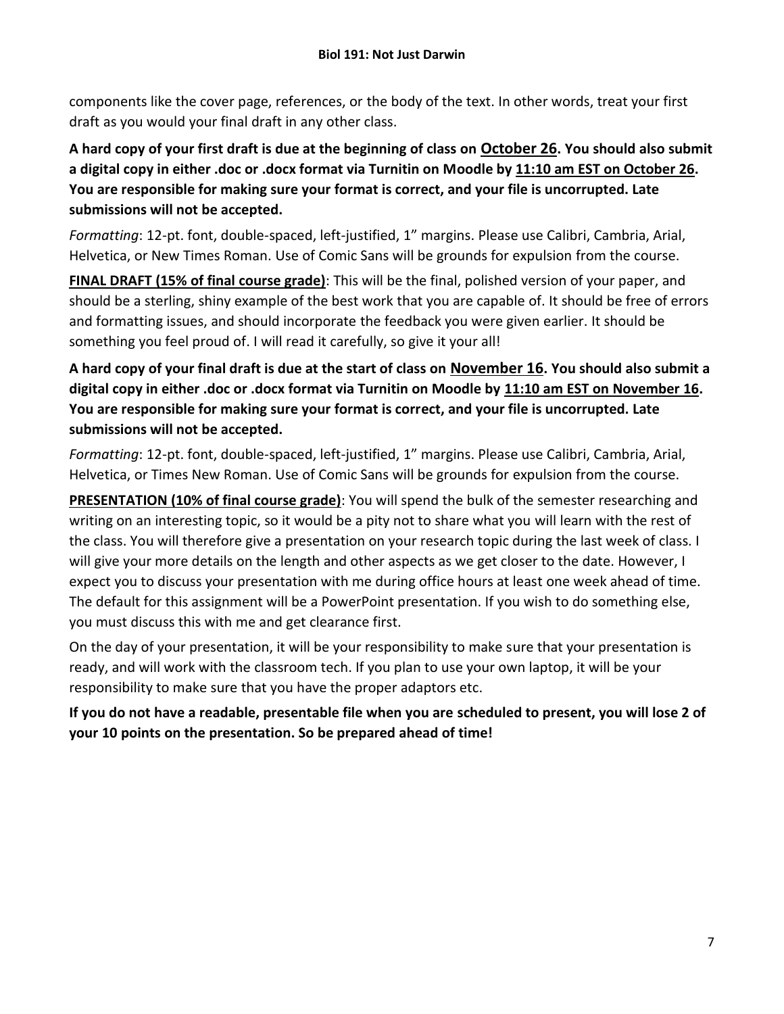components like the cover page, references, or the body of the text. In other words, treat your first draft as you would your final draft in any other class.

**A hard copy of your first draft is due at the beginning of class on October 26. You should also submit a digital copy in either .doc or .docx format via Turnitin on Moodle by 11:10 am EST on October 26. You are responsible for making sure your format is correct, and your file is uncorrupted. Late submissions will not be accepted.**

*Formatting*: 12-pt. font, double-spaced, left-justified, 1" margins. Please use Calibri, Cambria, Arial, Helvetica, or New Times Roman. Use of Comic Sans will be grounds for expulsion from the course.

**FINAL DRAFT (15% of final course grade)**: This will be the final, polished version of your paper, and should be a sterling, shiny example of the best work that you are capable of. It should be free of errors and formatting issues, and should incorporate the feedback you were given earlier. It should be something you feel proud of. I will read it carefully, so give it your all!

**A hard copy of your final draft is due at the start of class on November 16. You should also submit a digital copy in either .doc or .docx format via Turnitin on Moodle by 11:10 am EST on November 16. You are responsible for making sure your format is correct, and your file is uncorrupted. Late submissions will not be accepted.**

*Formatting*: 12-pt. font, double-spaced, left-justified, 1" margins. Please use Calibri, Cambria, Arial, Helvetica, or Times New Roman. Use of Comic Sans will be grounds for expulsion from the course.

**PRESENTATION (10% of final course grade)**: You will spend the bulk of the semester researching and writing on an interesting topic, so it would be a pity not to share what you will learn with the rest of the class. You will therefore give a presentation on your research topic during the last week of class. I will give your more details on the length and other aspects as we get closer to the date. However, I expect you to discuss your presentation with me during office hours at least one week ahead of time. The default for this assignment will be a PowerPoint presentation. If you wish to do something else, you must discuss this with me and get clearance first.

On the day of your presentation, it will be your responsibility to make sure that your presentation is ready, and will work with the classroom tech. If you plan to use your own laptop, it will be your responsibility to make sure that you have the proper adaptors etc.

**If you do not have a readable, presentable file when you are scheduled to present, you will lose 2 of your 10 points on the presentation. So be prepared ahead of time!**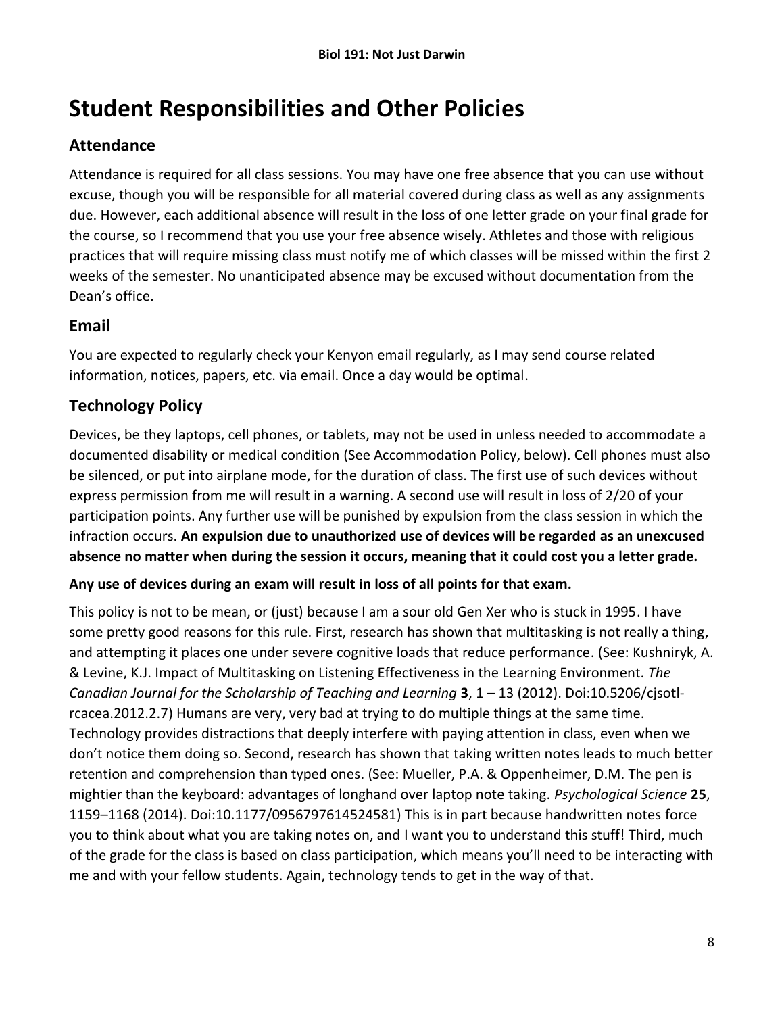# **Student Responsibilities and Other Policies**

## **Attendance**

Attendance is required for all class sessions. You may have one free absence that you can use without excuse, though you will be responsible for all material covered during class as well as any assignments due. However, each additional absence will result in the loss of one letter grade on your final grade for the course, so I recommend that you use your free absence wisely. Athletes and those with religious practices that will require missing class must notify me of which classes will be missed within the first 2 weeks of the semester. No unanticipated absence may be excused without documentation from the Dean's office.

### **Email**

You are expected to regularly check your Kenyon email regularly, as I may send course related information, notices, papers, etc. via email. Once a day would be optimal.

## **Technology Policy**

Devices, be they laptops, cell phones, or tablets, may not be used in unless needed to accommodate a documented disability or medical condition (See Accommodation Policy, below). Cell phones must also be silenced, or put into airplane mode, for the duration of class. The first use of such devices without express permission from me will result in a warning. A second use will result in loss of 2/20 of your participation points. Any further use will be punished by expulsion from the class session in which the infraction occurs. **An expulsion due to unauthorized use of devices will be regarded as an unexcused absence no matter when during the session it occurs, meaning that it could cost you a letter grade.**

#### **Any use of devices during an exam will result in loss of all points for that exam.**

This policy is not to be mean, or (just) because I am a sour old Gen Xer who is stuck in 1995. I have some pretty good reasons for this rule. First, research has shown that multitasking is not really a thing, and attempting it places one under severe cognitive loads that reduce performance. (See: Kushniryk, A. & Levine, K.J. Impact of Multitasking on Listening Effectiveness in the Learning Environment. *The Canadian Journal for the Scholarship of Teaching and Learning* **3**, 1 – 13 (2012). Doi:10.5206/cjsotlrcacea.2012.2.7) Humans are very, very bad at trying to do multiple things at the same time. Technology provides distractions that deeply interfere with paying attention in class, even when we don't notice them doing so. Second, research has shown that taking written notes leads to much better retention and comprehension than typed ones. (See: Mueller, P.A. & Oppenheimer, D.M. The pen is mightier than the keyboard: advantages of longhand over laptop note taking. *Psychological Science* **25**, 1159–1168 (2014). Doi:10.1177/0956797614524581) This is in part because handwritten notes force you to think about what you are taking notes on, and I want you to understand this stuff! Third, much of the grade for the class is based on class participation, which means you'll need to be interacting with me and with your fellow students. Again, technology tends to get in the way of that.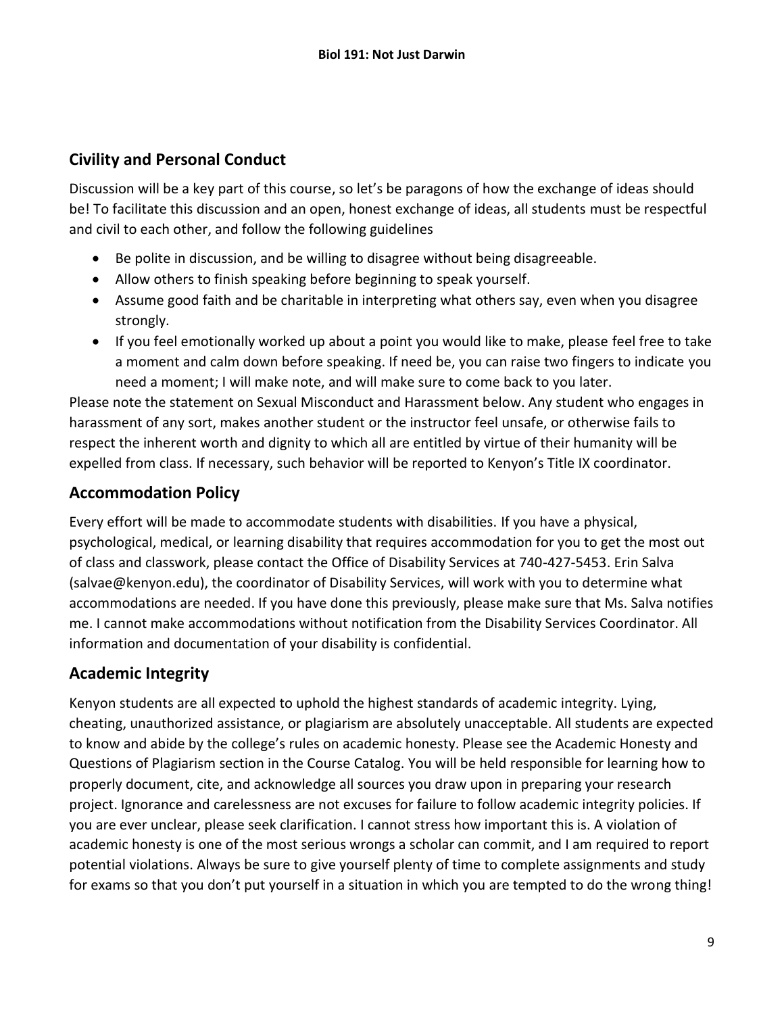#### **Civility and Personal Conduct**

Discussion will be a key part of this course, so let's be paragons of how the exchange of ideas should be! To facilitate this discussion and an open, honest exchange of ideas, all students must be respectful and civil to each other, and follow the following guidelines

- Be polite in discussion, and be willing to disagree without being disagreeable.
- Allow others to finish speaking before beginning to speak yourself.
- Assume good faith and be charitable in interpreting what others say, even when you disagree strongly.
- If you feel emotionally worked up about a point you would like to make, please feel free to take a moment and calm down before speaking. If need be, you can raise two fingers to indicate you need a moment; I will make note, and will make sure to come back to you later.

Please note the statement on Sexual Misconduct and Harassment below. Any student who engages in harassment of any sort, makes another student or the instructor feel unsafe, or otherwise fails to respect the inherent worth and dignity to which all are entitled by virtue of their humanity will be expelled from class. If necessary, such behavior will be reported to Kenyon's Title IX coordinator.

#### **Accommodation Policy**

Every effort will be made to accommodate students with disabilities. If you have a physical, psychological, medical, or learning disability that requires accommodation for you to get the most out of class and classwork, please contact the Office of Disability Services at 740-427-5453. Erin Salva (salvae@kenyon.edu), the coordinator of Disability Services, will work with you to determine what accommodations are needed. If you have done this previously, please make sure that Ms. Salva notifies me. I cannot make accommodations without notification from the Disability Services Coordinator. All information and documentation of your disability is confidential.

#### **Academic Integrity**

Kenyon students are all expected to uphold the highest standards of academic integrity. Lying, cheating, unauthorized assistance, or plagiarism are absolutely unacceptable. All students are expected to know and abide by the college's rules on academic honesty. Please see the Academic Honesty and Questions of Plagiarism section in the Course Catalog. You will be held responsible for learning how to properly document, cite, and acknowledge all sources you draw upon in preparing your research project. Ignorance and carelessness are not excuses for failure to follow academic integrity policies. If you are ever unclear, please seek clarification. I cannot stress how important this is. A violation of academic honesty is one of the most serious wrongs a scholar can commit, and I am required to report potential violations. Always be sure to give yourself plenty of time to complete assignments and study for exams so that you don't put yourself in a situation in which you are tempted to do the wrong thing!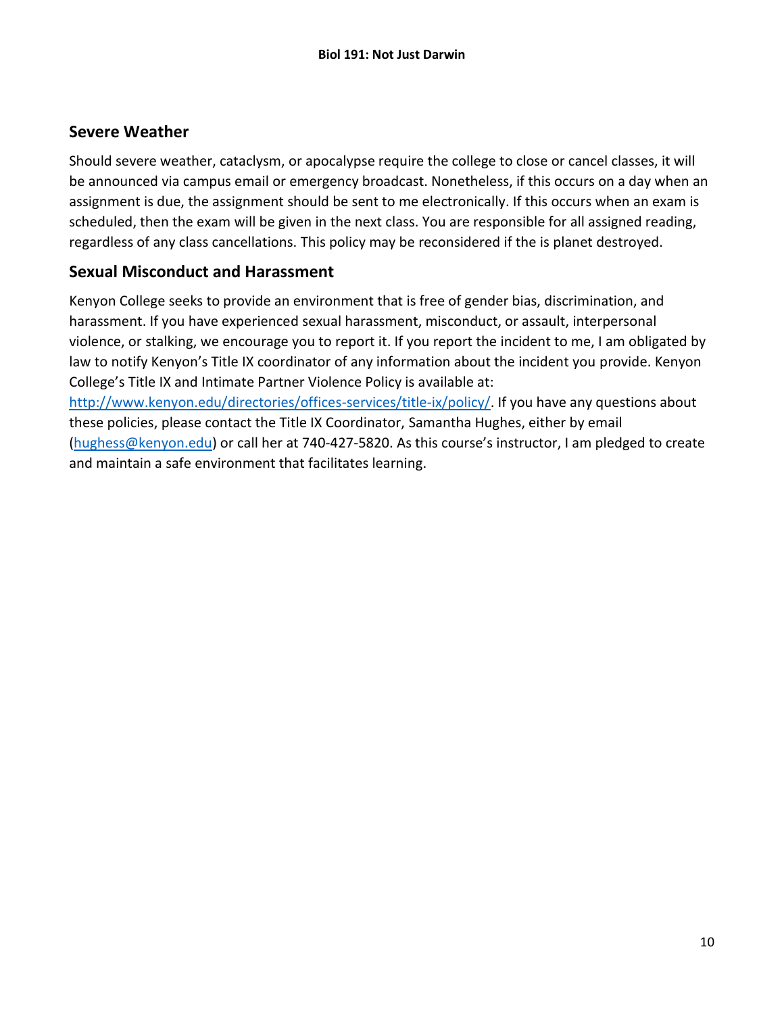#### **Severe Weather**

Should severe weather, cataclysm, or apocalypse require the college to close or cancel classes, it will be announced via campus email or emergency broadcast. Nonetheless, if this occurs on a day when an assignment is due, the assignment should be sent to me electronically. If this occurs when an exam is scheduled, then the exam will be given in the next class. You are responsible for all assigned reading, regardless of any class cancellations. This policy may be reconsidered if the is planet destroyed.

#### **Sexual Misconduct and Harassment**

Kenyon College seeks to provide an environment that is free of gender bias, discrimination, and harassment. If you have experienced sexual harassment, misconduct, or assault, interpersonal violence, or stalking, we encourage you to report it. If you report the incident to me, I am obligated by law to notify Kenyon's Title IX coordinator of any information about the incident you provide. Kenyon College's Title IX and Intimate Partner Violence Policy is available at: [http://www.kenyon.edu/directories/offices-services/title-ix/policy/.](http://www.kenyon.edu/directories/offices-services/title-ix/policy/) If you have any questions about these policies, please contact the Title IX Coordinator, Samantha Hughes, either by email [\(hughess@kenyon.edu\)](mailto:hughess@kenyon.edu) or call her at 740-427-5820. As this course's instructor, I am pledged to create and maintain a safe environment that facilitates learning.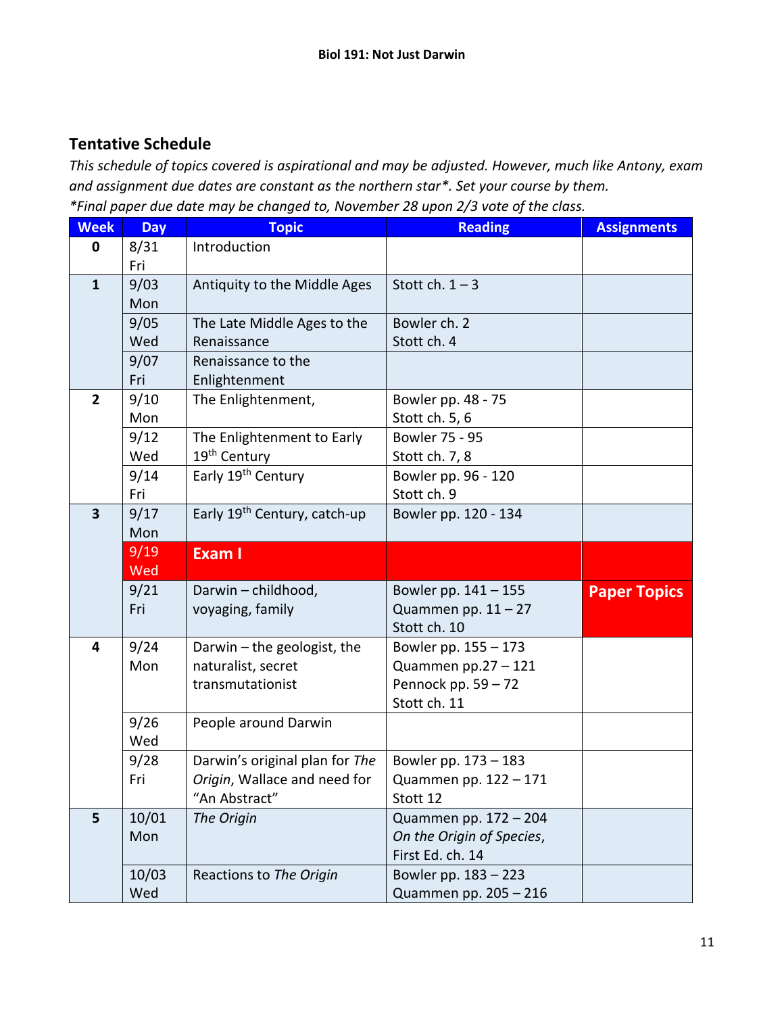#### **Tentative Schedule**

*This schedule of topics covered is aspirational and may be adjusted. However, much like Antony, exam and assignment due dates are constant as the northern star\*. Set your course by them. \*Final paper due date may be changed to, November 28 upon 2/3 vote of the class.*

| <b>Week</b>    | <b>Day</b> | <b>Topic</b>                             | <b>Reading</b>            | <b>Assignments</b>  |
|----------------|------------|------------------------------------------|---------------------------|---------------------|
| $\mathbf 0$    | 8/31       | Introduction                             |                           |                     |
|                | Fri        |                                          |                           |                     |
| $\mathbf{1}$   | 9/03       | Antiquity to the Middle Ages             | Stott ch. $1 - 3$         |                     |
|                | Mon        |                                          |                           |                     |
|                | 9/05       | The Late Middle Ages to the              | Bowler ch. 2              |                     |
|                | Wed        | Renaissance                              | Stott ch. 4               |                     |
|                | 9/07       | Renaissance to the                       |                           |                     |
|                | Fri        | Enlightenment                            |                           |                     |
| $\overline{2}$ | 9/10       | The Enlightenment,                       | Bowler pp. 48 - 75        |                     |
|                | Mon        |                                          | Stott ch. 5, 6            |                     |
|                | 9/12       | The Enlightenment to Early               | Bowler 75 - 95            |                     |
|                | Wed        | 19 <sup>th</sup> Century                 | Stott ch. 7, 8            |                     |
|                | 9/14       | Early 19th Century                       | Bowler pp. 96 - 120       |                     |
|                | Fri        |                                          | Stott ch. 9               |                     |
| 3              | 9/17       | Early 19 <sup>th</sup> Century, catch-up | Bowler pp. 120 - 134      |                     |
|                | Mon        |                                          |                           |                     |
|                | 9/19       | <b>Exam I</b>                            |                           |                     |
|                | Wed        |                                          |                           |                     |
|                | 9/21       | Darwin - childhood,                      | Bowler pp. 141 - 155      | <b>Paper Topics</b> |
|                | Fri        | voyaging, family                         | Quammen pp. $11 - 27$     |                     |
|                |            |                                          | Stott ch. 10              |                     |
| 4              | 9/24       | Darwin $-$ the geologist, the            | Bowler pp. 155 - 173      |                     |
|                | Mon        | naturalist, secret                       | Quammen pp.27 - 121       |                     |
|                |            | transmutationist                         | Pennock pp. $59 - 72$     |                     |
|                |            |                                          | Stott ch. 11              |                     |
|                | 9/26       | People around Darwin                     |                           |                     |
|                | Wed        |                                          |                           |                     |
|                | 9/28       | Darwin's original plan for The           | Bowler pp. 173 - 183      |                     |
|                | Fri        | Origin, Wallace and need for             | Quammen pp. 122 - 171     |                     |
|                |            | "An Abstract"                            | Stott 12                  |                     |
| 5              | 10/01      | The Origin                               | Quammen pp. 172 - 204     |                     |
|                | Mon        |                                          | On the Origin of Species, |                     |
|                |            |                                          | First Ed. ch. 14          |                     |
|                | 10/03      | Reactions to The Origin                  | Bowler pp. 183 - 223      |                     |
|                | Wed        |                                          | Quammen pp. 205 - 216     |                     |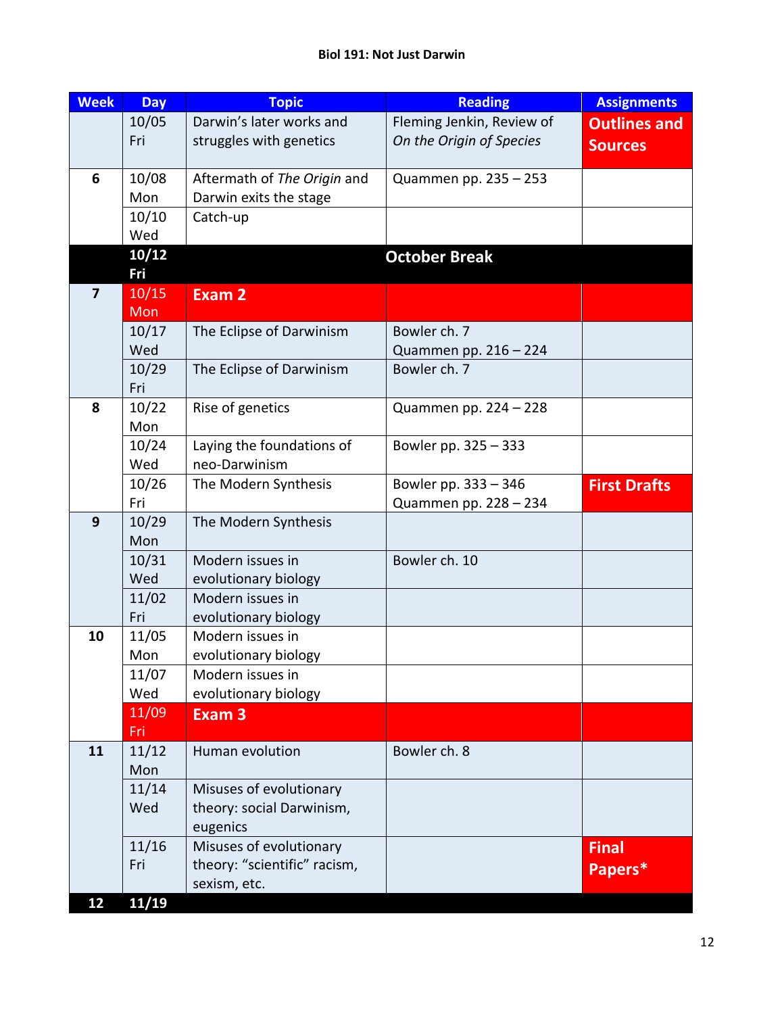#### **Biol 191: Not Just Darwin**

| <b>Week</b>    | <b>Day</b>   | <b>Topic</b>                                 | <b>Reading</b>                        | <b>Assignments</b>  |
|----------------|--------------|----------------------------------------------|---------------------------------------|---------------------|
|                | 10/05        | Darwin's later works and                     | Fleming Jenkin, Review of             | <b>Outlines and</b> |
|                | Fri          | struggles with genetics                      | On the Origin of Species              | <b>Sources</b>      |
|                |              |                                              |                                       |                     |
| 6              | 10/08        | Aftermath of The Origin and                  | Quammen pp. 235 - 253                 |                     |
|                | Mon          | Darwin exits the stage                       |                                       |                     |
|                | 10/10        | Catch-up                                     |                                       |                     |
|                | Wed          |                                              |                                       |                     |
|                | 10/12        |                                              | <b>October Break</b>                  |                     |
|                | Fri          |                                              |                                       |                     |
| $\overline{7}$ | 10/15        | Exam 2                                       |                                       |                     |
|                | Mon          |                                              |                                       |                     |
|                | 10/17        | The Eclipse of Darwinism                     | Bowler ch. 7                          |                     |
|                | Wed          |                                              | Quammen pp. 216 - 224<br>Bowler ch. 7 |                     |
|                | 10/29<br>Fri | The Eclipse of Darwinism                     |                                       |                     |
| 8              | 10/22        | Rise of genetics                             | Quammen pp. 224 - 228                 |                     |
|                | Mon          |                                              |                                       |                     |
|                | 10/24        | Laying the foundations of                    | Bowler pp. 325 - 333                  |                     |
|                | Wed          | neo-Darwinism                                |                                       |                     |
|                | 10/26        | The Modern Synthesis                         | Bowler pp. 333 - 346                  | <b>First Drafts</b> |
|                | Fri          |                                              | Quammen pp. 228 - 234                 |                     |
| 9              | 10/29        | The Modern Synthesis                         |                                       |                     |
|                | Mon          |                                              |                                       |                     |
|                | 10/31        | Modern issues in                             | Bowler ch. 10                         |                     |
|                | Wed          | evolutionary biology                         |                                       |                     |
|                | 11/02        | Modern issues in                             |                                       |                     |
|                | Fri          | evolutionary biology                         |                                       |                     |
| 10             | 11/05        | Modern issues in                             |                                       |                     |
|                | Mon          | evolutionary biology                         |                                       |                     |
|                | 11/07        | Modern issues in                             |                                       |                     |
|                | Wed          | evolutionary biology                         |                                       |                     |
|                | 11/09        | Exam <sub>3</sub>                            |                                       |                     |
|                | Fri          |                                              |                                       |                     |
| 11             | 11/12        | Human evolution                              | Bowler ch. 8                          |                     |
|                | Mon          |                                              |                                       |                     |
|                | 11/14        | Misuses of evolutionary                      |                                       |                     |
|                | Wed          | theory: social Darwinism,                    |                                       |                     |
|                |              | eugenics                                     |                                       |                     |
|                | 11/16<br>Fri | Misuses of evolutionary                      |                                       | <b>Final</b>        |
|                |              | theory: "scientific" racism,<br>sexism, etc. |                                       | Papers*             |
| 12             | 11/19        |                                              |                                       |                     |